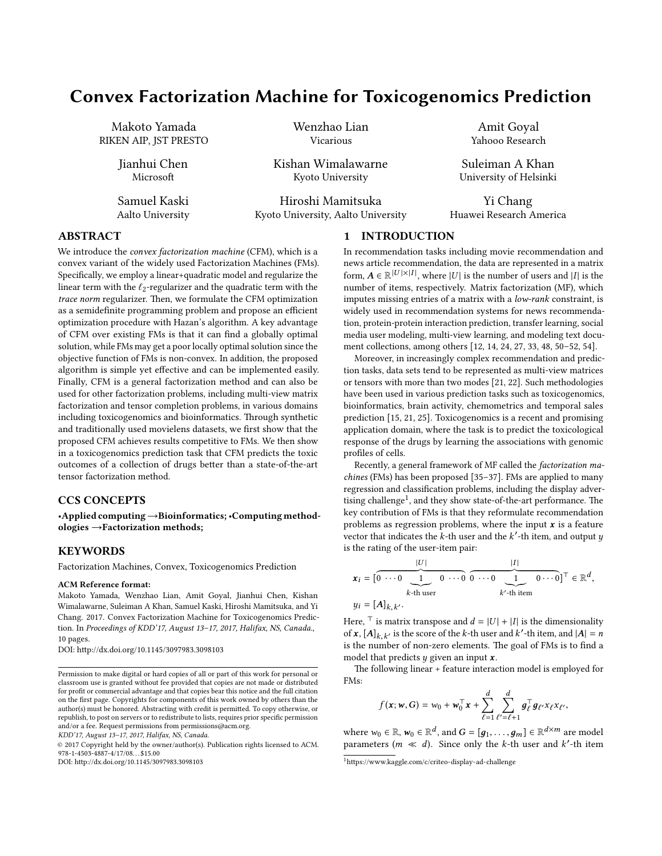# Convex Factorization Machine for Toxicogenomics Prediction

Makoto Yamada RIKEN AIP, JST PRESTO

> Jianhui Chen **Microsoft**

Samuel Kaski Aalto University Wenzhao Lian Vicarious

Kishan Wimalawarne Kyoto University

Hiroshi Mamitsuka Kyoto University, Aalto University

Amit Goyal Yahooo Research

Suleiman A Khan University of Helsinki

Yi Chang Huawei Research America

# ABSTRACT

We introduce the convex factorization machine (CFM), which is a convex variant of the widely used Factorization Machines (FMs). Specifically, we employ a linear+quadratic model and regularize the linear term with the  $\ell_2$ -regularizer and the quadratic term with the trace norm regularizer. Then, we formulate the CFM optimization as a semidefinite programming problem and propose an efficient optimization procedure with Hazan's algorithm. A key advantage of CFM over existing FMs is that it can find a globally optimal solution, while FMs may get a poor locally optimal solution since the objective function of FMs is non-convex. In addition, the proposed algorithm is simple yet effective and can be implemented easily. Finally, CFM is a general factorization method and can also be used for other factorization problems, including multi-view matrix factorization and tensor completion problems, in various domains including toxicogenomics and bioinformatics. Through synthetic and traditionally used movielens datasets, we first show that the proposed CFM achieves results competitive to FMs. We then show in a toxicogenomics prediction task that CFM predicts the toxic outcomes of a collection of drugs better than a state-of-the-art tensor factorization method.

# CCS CONCEPTS

•Applied computing→Bioinformatics; •Computing methodologies →Factorization methods;

# **KEYWORDS**

Factorization Machines, Convex, Toxicogenomics Prediction

#### ACM Reference format:

Makoto Yamada, Wenzhao Lian, Amit Goyal, Jianhui Chen, Kishan Wimalawarne, Suleiman A Khan, Samuel Kaski, Hiroshi Mamitsuka, and Yi Chang. 2017. Convex Factorization Machine for Toxicogenomics Prediction. In Proceedings of KDD'17, August 13-17, 2017, Halifax, NS, Canada., [10](#page-9-0) pages.

DOI: http://dx.doi.org/10.1145/3097983.3098103

KDD'17, August 13–17, 2017, Halifax, NS, Canada.

© 2017 Copyright held by the owner/author(s). Publication rights licensed to ACM. 978-1-4503-4887-4/17/08. . . \$15.00

DOI: http://dx.doi.org/10.1145/3097983.3098103

# 1 INTRODUCTION

In recommendation tasks including movie recommendation and news article recommendation, the data are represented in a matrix form,  $A \in \mathbb{R}^{|U| \times |I|}$ , where |U| is the number of users and |I| is the number of items respectively. Matrix fectorization (MF), which number of items, respectively. Matrix factorization (MF), which imputes missing entries of a matrix with a low-rank constraint, is widely used in recommendation systems for news recommendation, protein-protein interaction prediction, transfer learning, social media user modeling, multi-view learning, and modeling text document collections, among others [\[12,](#page-9-1) [14,](#page-9-2) [24,](#page-9-3) [27,](#page-9-4) [33,](#page-9-5) [48,](#page-9-6) [50–](#page-9-7)[52,](#page-9-8) [54\]](#page-9-9).

Moreover, in increasingly complex recommendation and prediction tasks, data sets tend to be represented as multi-view matrices or tensors with more than two modes [\[21,](#page-9-10) [22\]](#page-9-11). Such methodologies have been used in various prediction tasks such as toxicogenomics, bioinformatics, brain activity, chemometrics and temporal sales prediction [\[15,](#page-9-12) [21,](#page-9-10) [25\]](#page-9-13). Toxicogenomics is a recent and promising application domain, where the task is to predict the toxicological response of the drugs by learning the associations with genomic profiles of cells.

Recently, a general framework of MF called the factorization machines (FMs) has been proposed [\[35](#page-9-14)[–37\]](#page-9-15). FMs are applied to many regression and classification problems, including the display adver- $\frac{1}{2}$  $\frac{1}{2}$  $\frac{1}{2}$  tising challenge<sup>1</sup>, and they show state-of-the-art performance. The key contribution of FMs is that they reformulate recommendation problems as regression problems, where the input  $x$  is a feature vector that indicates the  $\vec{k}$ -th user and the  $\vec{k}'$ -th item, and output  $y$  is the rating of the user-item pair: is the rating of the user-item pair:

$$
\mathbf{x}_i = \begin{bmatrix} 0 & \cdots & 0 \\ 0 & \cdots & 0 \\ k & \cdots & k \end{bmatrix} \quad \begin{matrix} |I| \\ 0 & \cdots & 0 \\ 0 & \cdots & 0 \\ 0 & \cdots & 0 \end{matrix} \quad \begin{matrix} |I| \\ 0 & \cdots & 0 \end{matrix} \end{bmatrix}^\top \in \mathbb{R}^d,
$$
\n
$$
y_i = [A]_{k,k'}.
$$

Here,  $\top$  is matrix transpose and  $d = |U| + |I|$  is the dimensionality of  $\mathbf{x}$ ,  $[A]_{k,k'}$  is the score of the k-th user and  $k'$ -th item, and  $|A| = n$ <br>is the number of non-zero elements. The goal of EMs is to find a is the number of non-zero elements. The goal of FMs is to find a model that predicts  $y$  given an input  $x$ .

The following linear + feature interaction model is employed for FMs:

$$
f(\mathbf{x}; \mathbf{w}, G) = w_0 + \mathbf{w}_0^{\top} \mathbf{x} + \sum_{\ell=1}^d \sum_{\ell'= \ell+1}^d g_{\ell}^{\top} g_{\ell'} x_{\ell} x_{\ell'},
$$

where  $w_0 \in \mathbb{R}$ ,  $w_0 \in \mathbb{R}^d$ , and  $G = [g_1, \ldots, g_m] \in \mathbb{R}^{d \times m}$  are model<br>parameters  $(m \ll d)$ . Since only the k-th user and k'-th item parameters  $(m \ll d)$ . Since only the k-th user and k'-th item

Permission to make digital or hard copies of all or part of this work for personal or classroom use is granted without fee provided that copies are not made or distributed for profit or commercial advantage and that copies bear this notice and the full citation on the first page. Copyrights for components of this work owned by others than the author(s) must be honored. Abstracting with credit is permitted. To copy otherwise, or republish, to post on servers or to redistribute to lists, requires prior specific permission and/or a fee. Request permissions from permissions@acm.org.

<span id="page-0-0"></span> $^1$ https://www.kaggle.com/c/criteo-display-ad-challenge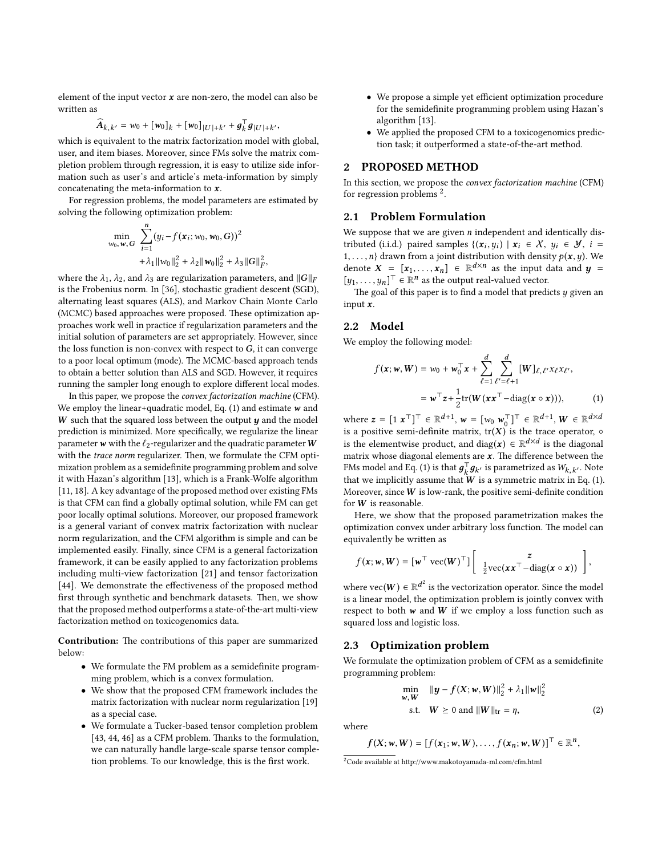element of the input vector  $x$  are non-zero, the model can also be written as

$$
\widehat{A}_{k,k'} = w_0 + [w_0]_k + [w_0]_{|U|+k'} + g_k^{\top} g_{|U|+k'},
$$

 $A_{k,k'} = w_0 + [w_0]_k + [w_0]_{|U|+k'} + g_k g_{|U|+k'},$ <br>which is equivalent to the matrix factorization model with global. user, and item biases. Moreover, since FMs solve the matrix completion problem through regression, it is easy to utilize side information such as user's and article's meta-information by simply concatenating the meta-information to x.

For regression problems, the model parameters are estimated by solving the following optimization problem:

$$
\min_{w_0, w, G} \sum_{i=1}^n (y_i - f(x_i; w_0, w_0, G))^2 + \lambda_1 \|w_0\|_2^2 + \lambda_2 \|w_0\|_2^2 + \lambda_3 \|G\|_F^2
$$

 $+ \lambda_1 ||w_0||_2^2 + \lambda_2 ||w_0||_2^2 + \lambda_3 ||G||_F^2$ ,<br>where the  $\lambda_1$ ,  $\lambda_2$ , and  $\lambda_3$  are regularization parameters, and  $||G||_F$ <br>is the Frobenius norm. In [36], stochastic gradient descent (SCD) is the Frobenius norm. In [\[36\]](#page-9-16), stochastic gradient descent (SGD), alternating least squares (ALS), and Markov Chain Monte Carlo (MCMC) based approaches were proposed. These optimization approaches work well in practice if regularization parameters and the initial solution of parameters are set appropriately. However, since the loss function is non-convex with respect to  $G$ , it can converge to a poor local optimum (mode). The MCMC-based approach tends to obtain a better solution than ALS and SGD. However, it requires running the sampler long enough to explore different local modes.

In this paper, we propose the convex factorization machine (CFM). We employ the linear+quadratic model, Eq.  $(1)$  and estimate w and  $W$  such that the squared loss between the output  $y$  and the model prediction is minimized. More specifically, we regularize the linear parameter w with the  $\ell_2$ -regularizer and the quadratic parameter W with the trace norm regularizer. Then, we formulate the CFM optimization problem as a semidefinite programming problem and solve it with Hazan's algorithm [\[13\]](#page-9-17), which is a Frank-Wolfe algorithm [\[11,](#page-9-18) [18\]](#page-9-19). A key advantage of the proposed method over existing FMs is that CFM can find a globally optimal solution, while FM can get poor locally optimal solutions. Moreover, our proposed framework is a general variant of convex matrix factorization with nuclear norm regularization, and the CFM algorithm is simple and can be implemented easily. Finally, since CFM is a general factorization framework, it can be easily applied to any factorization problems including multi-view factorization [\[21\]](#page-9-10) and tensor factorization [\[44\]](#page-9-20). We demonstrate the effectiveness of the proposed method first through synthetic and benchmark datasets. Then, we show that the proposed method outperforms a state-of-the-art multi-view factorization method on toxicogenomics data.

Contribution: The contributions of this paper are summarized below:

- We formulate the FM problem as a semidefinite programming problem, which is a convex formulation.
- We show that the proposed CFM framework includes the matrix factorization with nuclear norm regularization [\[19\]](#page-9-21) as a special case.
- We formulate a Tucker-based tensor completion problem  $[43, 44, 46]$  $[43, 44, 46]$  $[43, 44, 46]$  $[43, 44, 46]$  $[43, 44, 46]$  as a CFM problem. Thanks to the formulation, we can naturally handle large-scale sparse tensor completion problems. To our knowledge, this is the first work.
- We propose a simple yet efficient optimization procedure for the semidefinite programming problem using Hazan's algorithm [\[13\]](#page-9-17).
- We applied the proposed CFM to a toxicogenomics prediction task; it outperformed a state-of-the-art method.

#### 2 PROPOSED METHOD

In this section, we propose the convex factorization machine (CFM) for regression problems [2](#page-1-1) .

#### 2.1 Problem Formulation

We suppose that we are given  $n$  independent and identically distributed (i.i.d.) paired samples  $\{(x_i, y_i) | x_i \in X, y_i \in Y, i = 1, \dots, n\}$  drawn from a joint distribution with density  $p(x, y)$ . 1, ..., *n*} drawn from a joint distribution with density  $p(x, y)$ . We denote  $X = [x, x] \in \mathbb{R}^{d \times n}$  as the input data and  $y =$ denote  $X = [x_1, ..., x_n] \in \mathbb{R}^{d \times n}$  as the input data and  $y = [u_1, ..., u_n]$   $\in \mathbb{R}^n$  as the output real-valued vector  $[y_1, \ldots, y_n]^\top \in \mathbb{R}^n$  as the output real-valued vector.<br>The goal of this paper is to find a model that predi

The goal of this paper is to find a model that predicts  $y$  given an input x.

# 2.2 Model

We employ the following model:

<span id="page-1-0"></span>
$$
f(\mathbf{x}; \mathbf{w}, \mathbf{W}) = w_0 + \mathbf{w}_0^{\top} \mathbf{x} + \sum_{\ell=1}^d \sum_{\ell'=\ell+1}^d [\mathbf{W}]_{\ell, \ell'} x_{\ell} x_{\ell'},
$$

$$
= \mathbf{w}^{\top} \mathbf{z} + \frac{1}{2} \text{tr}(\mathbf{W} (\mathbf{x} \mathbf{x}^{\top} - \text{diag} (\mathbf{x} \circ \mathbf{x}))), \qquad (1)
$$

where  $z = [1 \mathbf{x}^T]^T \in \mathbb{R}^{d+1}$ ,  $\mathbf{w} = [w_0 \mathbf{w}_0^T]^T \in \mathbb{R}^{d+1}$ ,  $\mathbf{W} \in \mathbb{R}^{d \times d}$ <br>is a positive semi-definite matrix  $\mathbf{tr}(\mathbf{X})$  is the trace operator c is a positive semi-definite matrix,  $tr(X)$  is the trace operator,  $\circ$  is the clonearily is the diagonal is the elementwise product, and diag( $\mathbf{x}$ )  $\in \mathbb{R}^{d \times d}$  is the diagonal<br>matrix whose diagonal elements are  $\mathbf{x}$ . The difference between the matrix whose diagonal elements are  $x$ . The difference between the FMs model and Eq. [\(1\)](#page-1-0) is that  $g_k^T g_{k'}$  is parametrized as  $W_{k,k'}$ . Note<br>that we implicitly assume that  $W$  is a symmetric matrix in Eq. (1) that we implicitly assume that W is a symmetric matrix, in Eq. [\(1\)](#page-1-0).<br>Moreover since W is low-rough the positive semi-definite condition Moreover, since  $W$  is low-rank, the positive semi-definite condition for W is reasonable.

Here, we show that the proposed parametrization makes the optimization convex under arbitrary loss function. The model can equivalently be written as "

$$
f(\mathbf{x}; \mathbf{w}, \mathbf{W}) = [\mathbf{w}^{\top} \text{ vec}(\mathbf{W})^{\top}] \left[ \begin{array}{c} z \\ \frac{1}{2} \text{ vec}(\mathbf{x} \mathbf{x}^{\top} - \text{diag}(\mathbf{x} \circ \mathbf{x})) \end{array} \right],
$$

where  $\text{vec}(W) \in \mathbb{R}^d$ <br>is a linear model, the  $\alpha^2$  is the vectorization operator. Since the model is a linear model, the optimization problem is jointly convex with respect to both  $w$  and  $W$  if we employ a loss function such as squared loss and logistic loss.

# 2.3 Optimization problem

We formulate the optimization problem of CFM as a semidefinite programming problem:

<span id="page-1-2"></span>
$$
\min_{w, W} \|y - f(X; w, W)\|_2^2 + \lambda_1 \|w\|_2^2
$$
  
s.t.  $W \ge 0$  and  $||W||_{\text{tr}} = \eta$ , (2)

where

$$
f(X; w, W) = [f(x_1; w, W), \ldots, f(x_n; w, W)]^\top \in \mathbb{R}^n,
$$

<span id="page-1-1"></span> $2^2$ Code available at http://www.makotoyamada-ml.com/cfm.html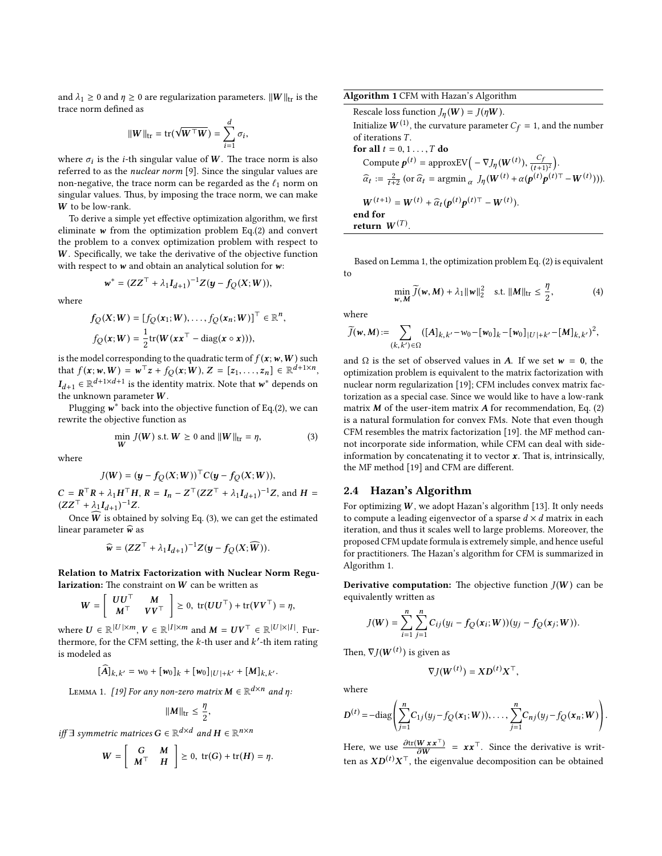and  $\lambda_1 \geq 0$  and  $\eta \geq 0$  are regularization parameters.  $||W||_{tr}$  is the trace norm defined as

$$
||W||_{\text{tr}} = \text{tr}(\sqrt{W \top W}) = \sum_{i=1}^{d} \sigma_i
$$

,

where  $\sigma_i$  is the *i*-th singular value of W. The trace norm is also referred to as the *nuclear norm* [0]. Since the singular values are referred to as the nuclear norm [\[9\]](#page-9-24). Since the singular values are non-negative, the trace norm can be regarded as the  $\ell_1$  norm on singular values. Thus, by imposing the trace norm, we can make W to be low-rank.

To derive a simple yet effective optimization algorithm, we first eliminate  $w$  from the optimization problem Eq.[\(2\)](#page-1-2) and convert the problem to a convex optimization problem with respect to  $W$ . Specifically, we take the derivative of the objective function with respect to  $w$  and obtain an analytical solution for  $w$ :

$$
w^* = (ZZ^{\top} + \lambda_1 I_{d+1})^{-1}Z(y - f_Q(X;W)),
$$

where

$$
f_Q(X;W) = [f_Q(\mathbf{x}_1;W),\ldots,f_Q(\mathbf{x}_n;W)]^\top \in \mathbb{R}^n,
$$
  

$$
f_Q(\mathbf{x};W) = \frac{1}{2}\text{tr}(W(\mathbf{x}\mathbf{x}^\top - \text{diag}(\mathbf{x} \circ \mathbf{x}))),
$$

is the model corresponding to the quadratic term of  $f(\mathbf{x};w,W)$  such that  $f(\mathbf{x}; w, W) = \mathbf{w}^\top \mathbf{z} + f_Q(\mathbf{x}; W), Z = [z_1, \dots, z_n] \in \mathbb{R}^{d+1 \times n}$  $I_{d+1} \in \mathbb{R}^{d+1 \times d+1}$  is the identity matrix. Note that  $w^*$  depends on the unknown parameter  $W$ the unknown parameter  $W$ .

Plugging  $\mathbf{w}^*$  back into the objective function of Eq.[\(2\)](#page-1-2), we can<br>write the objective function as rewrite the objective function as

$$
\min_{\mathbf{W}} J(\mathbf{W}) \text{ s.t. } \mathbf{W} \ge 0 \text{ and } ||\mathbf{W}||_{\text{tr}} = \eta,
$$
\n(3)

where

$$
J(W) = (\mathbf{y} - f_Q(X;W))^{\top} C(\mathbf{y} - f_Q(X;W)),
$$

 $C = R^{\top}R + \lambda_1H^{\top}H$ ,  $R = I_n - Z^{\top}(ZZ^{\top} + \lambda_1I_{d+1})$ <br>  $(ZZ^{\top} + \lambda_1I_{d+1})^{-1}Z$  $^{-1}Z$ , and  $H =$  $(ZZ^{\top} + \lambda_1 I_{d+1})^{-1}Z$ .<br>Orga  $\overline{W}$  is obtained

Once  $\overline{W}$  is obtained by solving Eq. [\(3\)](#page-2-0), we can get the estimated<br>once  $\overline{W}$  is obtained by solving Eq. (3), we can get the estimated linear parameter  $\widehat{w}$  as

$$
\widehat{\mathbf{w}} = (ZZ^{\top} + \lambda_1 I_{d+1})^{-1}Z(\mathbf{y} - f_Q(X; \widehat{\mathbf{W}})).
$$

Relation to Matrix Factorization with Nuclear Norm Regu**larization:** The constraint on W can be written as

$$
W = \left[ \begin{array}{cc} UU^{\top} & M \\ M^{\top} & VV^{\top} \end{array} \right] \geq 0, \text{ tr}(UU^{\top}) + \text{tr}(VV^{\top}) = \eta,
$$

where  $U \in \mathbb{R}^{|U| \times m}$ ,  $V \in \mathbb{R}^{|I| \times m}$  and  $M = UV^{\top} \in \mathbb{R}^{|U| \times |I|}$ . Furthermore for the CEM setting, the *k*-th user and *k'*-th item rating thermore, for the CFM setting, the  $k$ -th user and  $k'$ -th item rating<br>is modeled as is modeled as

$$
[\widehat{A}]_{k,k'}=w_0+[\mathbfit{w}_0]_k+[\mathbfit{w}_0]_{|U|+k'}+[\mathbfit{M}]_{k,k'}.
$$

LEMMA 1. [\[19\]](#page-9-21) For any non-zero matrix  $M \in \mathbb{R}^{d \times n}$  and  $\eta$ :

$$
||M||_{\text{tr}} \leq \frac{\eta}{2},
$$

*iff* ∃ symmetric matrices  $G \in \mathbb{R}^{d \times d}$  and  $H \in \mathbb{R}^{n \times n}$ 

$$
W = \left[ \begin{array}{cc} G & M \\ M^{\top} & H \end{array} \right] \geq 0, \text{ tr}(G) + \text{ tr}(H) = \eta.
$$

<span id="page-2-1"></span>Algorithm 1 CFM with Hazan's Algorithm

Rescale loss function  $J_n(W) = J(\eta W)$ . Initialize  $W^{(1)}$ , the curvature parameter  $C_f = 1$ , and the number of iterations T of iterations T. for all  $t = 0, 1, \ldots, T$  do Compute  $p^{(t)} = \text{approxEV}(-\nabla J_{\eta}(\mathbf{W}^{(t)}), \frac{C_f}{(t+1)^2}).$  $\widehat{\alpha}_t := \frac{2}{t+2} \left( \text{or } \widehat{\alpha}_t = \text{argmin}_{\alpha} J_{\eta}(\mathbf{W}^{(t)} + \alpha(\mathbf{p}^{(t)}\mathbf{p}^{(t)\top} - \mathbf{W}^{(t)})) \right).$  $W^{(t+1)} = W^{(t)} + \hat{\alpha}_t (\mathbf{p}^{(t)} \mathbf{p}^{(t)\top} - W^{(t)}).$ end for return  $W^{(T)}$ .

Based on Lemma 1, the optimization problem Eq. [\(2\)](#page-1-2) is equivalent to

<span id="page-2-2"></span>
$$
\min_{\mathbf{w}, \mathbf{M}} \widetilde{J}(\mathbf{w}, \mathbf{M}) + \lambda_1 \|\mathbf{w}\|_2^2 \quad \text{s.t.} \ \|\mathbf{M}\|_{\text{tr}} \le \frac{\eta}{2}, \tag{4}
$$

where

$$
\widetilde{J}(w,M) := \sum_{(k,k') \in \Omega} ([A]_{k,k'} - w_0 - [w_0]_k - [w_0]_{|U|+k'} - [M]_{k,k'}^2),
$$

and  $\Omega$  is the set of observed values in A. If we set  $w = 0$ , the optimization problem is equivalent to the matrix factorization with nuclear norm regularization [\[19\]](#page-9-21); CFM includes convex matrix factorization as a special case. Since we would like to have a low-rank matrix  $M$  of the user-item matrix  $A$  for recommendation, Eq. [\(2\)](#page-1-2) is a natural formulation for convex FMs. Note that even though CFM resembles the matrix factorization [\[19\]](#page-9-21). the MF method cannot incorporate side information, while CFM can deal with sideinformation by concatenating it to vector  $x$ . That is, intrinsically, the MF method  $[19]$  and CFM are different.

# <span id="page-2-0"></span>2.4 Hazan's Algorithm

For optimizing  $W$ , we adopt Hazan's algorithm [\[13\]](#page-9-17). It only needs to compute a leading eigenvector of a sparse  $d \times d$  matrix in each iteration, and thus it scales well to large problems. Moreover, the proposed CFM update formula is extremely simple, and hence useful for practitioners. The Hazan's algorithm for CFM is summarized in Algorithm [1.](#page-2-1)

**Derivative computation:** The objective function  $J(W)$  can be equivalently written as

$$
J(W) = \sum_{i=1}^{n} \sum_{j=1}^{n} C_{ij}(y_i - f_Q(\mathbf{x}_i; W))(y_j - f_Q(\mathbf{x}_j; W)).
$$

Then,  $\nabla J(\boldsymbol{W}^{(t)})$  is given as

$$
\nabla J(\boldsymbol{W}^{(t)}) = \boldsymbol{X}\boldsymbol{D}^{(t)}\boldsymbol{X}^{\top},
$$

where

$$
D^{(t)} = -\text{diag}\left(\sum_{j=1}^{n} C_{1j}(y_j - f_Q(\mathbf{x}_1; \mathbf{W})), \dots, \sum_{j=1}^{n} C_{nj}(y_j - f_Q(\mathbf{x}_n; \mathbf{W}))\right)
$$

Here, we use  $\frac{\partial tr(W \, x \, x^{\top})}{\partial W} = x \, x^{\top}$ . Since the derivative is writ-<br>ten as  $XD^{(t)}Y^{\top}$  the eigenvalue decomposition can be obtained ten as  $XD^{(t)}X^{\top}$ , the eigenvalue decomposition can be obtained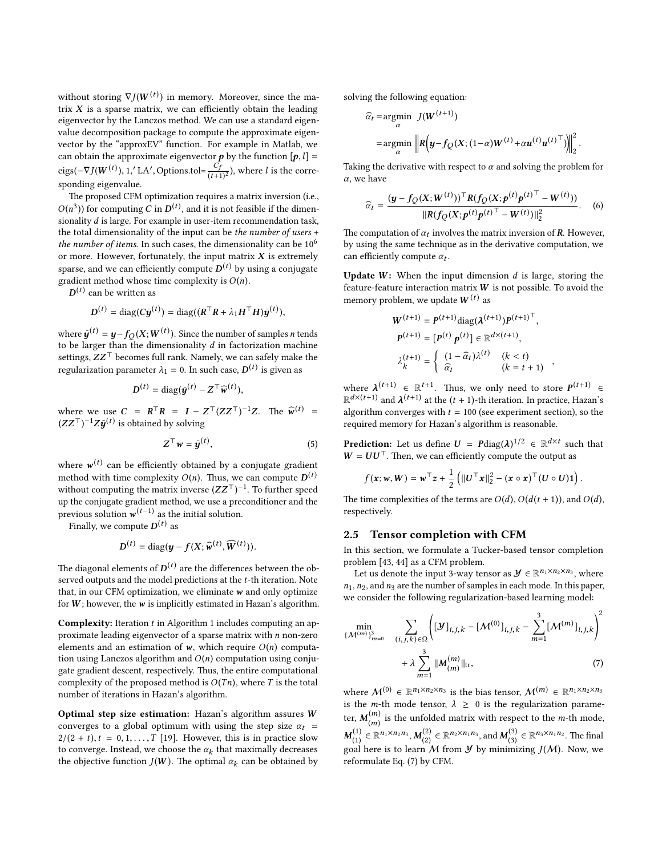without storing  $\nabla J(W^{(t)})$  in memory. Moreover, since the ma-<br>trix **Y** is a sparse matrix, we can efficiently obtain the leading trix  $X$  is a sparse matrix, we can efficiently obtain the leading eigenvector by the Lanczos method. We can use a standard eigenvalue decomposition package to compute the approximate eigenvector by the "approxEV" function. For example in Matlab, we can obtain the approximate eigenvector **p** by the function  $[p, l] =$ eigs( $-\nabla J(W^{(t)})$ , 1,'LA', Options.tol= $\frac{C_f}{(t+1)^2}$ ), where *l* is the corresponding eigenvalue.

The proposed CFM optimization requires a matrix inversion (i.e., sionality d is large. For example in user-item recommendation task,<br>the total dimensionality of the input can be the number of users + <sup>3</sup>)) for computing C in  $D^{(t)}$ , and it is not feasible if the dimen-<br>ality d is large. For example in user-item recommendation task the total dimensionality of the input can be the number of users + the number of items. In such cases, the dimensionality can be  $10^6$ or more. However, fortunately, the input matrix  $X$  is extremely sparse, and we can efficiently compute  $D^{(t)}$  by using a conjugate gradient method whose time complexity is  $O(n)$ . gradient method whose time complexity is  $O(n)$ .

 $(t)$  can be written as

$$
D^{(t)} = \text{diag}(C\bar{\boldsymbol{y}}^{(t)}) = \text{diag}((\boldsymbol{R}^\top \boldsymbol{R} + \lambda_1 \boldsymbol{H}^\top \boldsymbol{H})\bar{\boldsymbol{y}}^{(t)}),
$$

where  $\bar{y}^{(t)} = y - f_Q(X;W^{(t)})$ . Since the number of samples *n* tends to be larger than the dimensionality  $d$  in factorization machine settings,  $ZZ<sup>T</sup>$  becomes full rank. Namely, we can safely make the regularization parameter  $\lambda_1 = 0$ . In such case,  $D^{(t)}$  is given as

$$
D^{(t)} = \text{diag}(\bar{\boldsymbol{y}}^{(t)} - \boldsymbol{Z}^{\top} \widehat{\boldsymbol{w}}^{(t)}),
$$

where we use  $C = R^{T}R = I - Z^{T}(ZZ^{T})^{-1}Z$ . The  $\widehat{w}^{(t)} = (ZZ^{T})^{-1}Z \widehat{w}^{(t)}$  is obtained by solving  $(ZZ^\top)^{-1}Z\bar{\boldsymbol{y}}^{(t)}$  is obtained by solving

$$
Z^{\top}w = \bar{y}^{(t)}, \tag{5}
$$

where  $w^{(t)}$  can be efficiently obtained by a conjugate gradient<br>mathed with time complexity  $O(n)$ . Thus we can compute  $D^{(t)}$ method with time complexity  $O(n)$ . Thus, we can compute  $D^{(t)}$ <br>without computing the matrix inverse  $(ZZ^T)^{-1}$ . To further speed without computing the matrix inverse  $(ZZ^T)^{-1}$ . To further speed<br>up the conjugate gradient method, we use a preconditioner and the up the conjugate gradient method, we use a preconditioner and the previous solution  $w^{(t-1)}$  as the initial solution.

Finally, we compute  $D^{(t)}$  as

$$
D^{(t)} = \text{diag}(\boldsymbol{y} - f(X; \widehat{\boldsymbol{w}}^{(t)}, \widehat{\boldsymbol{W}}^{(t)})).
$$

The diagonal elements of  $D^{(t)}$  are the differences between the ob-<br>served outputs and the model predictions at the t-th iteration. Note served outputs and the model predictions at the t-th iteration. Note that, in our CFM optimization, we eliminate  $w$  and only optimize for  $W$ ; however, the  $w$  is implicitly estimated in Hazan's algorithm.

Complexity: Iteration t in Algorithm [1](#page-2-1) includes computing an approximate leading eigenvector of a sparse matrix with  $n$  non-zero elements and an estimation of  $w$ , which require  $O(n)$  computation using Lanczos algorithm and  $O(n)$  computation using conjugate gradient descent, respectively. Thus, the entire computational complexity of the proposed method is  $O(Tn)$ , where T is the total number of iterations in Hazan's algorithm.

Optimal step size estimation: Hazan's algorithm assures W converges to a global optimum with using the step size  $\alpha_t$  =  $2/(2 + t), t = 0, 1, \ldots, T$  [\[19\]](#page-9-21). However, this is in practice slow to converge. Instead, we choose the  $\alpha_k$  that maximally decreases<br>the objective function  $I(W)$ . The optimal  $\alpha_k$  can be obtained by the objective function  $J(W)$ . The optimal  $\alpha_k$  can be obtained by solving the following equation:

$$
\widehat{\alpha}_t = \underset{\alpha}{\operatorname{argmin}} \ \left\| R\left(\mathbf{y} - f_Q(X; (1-\alpha)W^{(t)} + \alpha \mathbf{u}^{(t)} \mathbf{u}^{(t)} \right)^T) \right\|_2^2
$$

 $\sqrt{3}$ 

Taking the derivative with respect to  $\alpha$  and solving the problem for  $\alpha$ , we have

$$
\widehat{\alpha}_t = \frac{(\mathbf{y} - f_Q(\mathbf{X}; \mathbf{W}^{(t)}))^{\top} R (f_Q(\mathbf{X}; \mathbf{p}^{(t)} \mathbf{p}^{(t)})^{\top} - \mathbf{W}^{(t)}))}{\|R(f_Q(\mathbf{X}; \mathbf{p}^{(t)} \mathbf{p}^{(t)})^{\top} - \mathbf{W}^{(t)})\|_2^2}.
$$
 (6)

The computation of  $\alpha_t$  involves the matrix inversion of R. However, by using the same technique as in the derivative computation, we by using the same technique as in the derivative computation, we can efficiently compute  $\alpha_t$ .

Update  $W$ : When the input dimension  $d$  is large, storing the feature-feature interaction matrix  $W$  is not possible. To avoid the memory problem, we update  $W^{(t)}$  as

$$
W^{(t+1)} = P^{(t+1)} \text{diag}(\lambda^{(t+1)}) P^{(t+1)}^\top,
$$
  
\n
$$
P^{(t+1)} = [P^{(t)} p^{(t)}] \in \mathbb{R}^{d \times (t+1)},
$$
  
\n
$$
\lambda_k^{(t+1)} = \begin{cases} (1 - \widehat{\alpha}_t) \lambda^{(t)} & (k < t) \\ \widehat{\alpha}_t & (k = t + 1) \end{cases}
$$

where  $\lambda^{(t+1)} \in \mathbb{R}^{t+1}$ . Thus, we only need to store  $P^{(t+1)} \in \mathbb{R}^{d \times (t+1)}$  and  $\lambda^{(t+1)}$  at the  $(t+1)$  th iteration. In propies Hegap's  $\mathbb{R}^{d \times (t+1)}$  and  $\lambda^{(t+1)}$  at the  $(t + 1)$ -th iteration. In practice, Hazan's<br>algorithm converges with  $t = 100$  (see experiment section), so the algorithm converges with  $t = 100$  (see experiment section), so the required memory for Hazan's algorithm is reasonable.

<span id="page-3-2"></span>,

<span id="page-3-1"></span>**Prediction:** Let us define  $U =$   $P \text{diag}(\lambda)^{1/2} \in \mathbb{R}^{d \times t}$  such that  $W = U U^{\top}$ . Then we can efficiently compute the output as  $W = U U^{\top}$ . Then, we can efficiently compute the output as

$$
f(\mathbf{x}; \mathbf{w}, \mathbf{W}) = \mathbf{w}^{\top} \mathbf{z} + \frac{1}{2} \left( \|\mathbf{U}^{\top} \mathbf{x}\|_2^2 - (\mathbf{x} \circ \mathbf{x})^{\top} (\mathbf{U} \circ \mathbf{U}) \mathbf{1} \right).
$$

The time complexities of the terms are  $O(d)$ ,  $O(d(t + 1))$ , and  $O(d)$ , respectively.

# 2.5 Tensor completion with CFM

In this section, we formulate a Tucker-based tensor completion problem [\[43,](#page-9-22) [44\]](#page-9-20) as a CFM problem.

Let us denote the input 3-way tensor as  $\mathcal{Y} \in \mathbb{R}^{n_1 \times n_2 \times n_3}$ , where  $n_1$ ,  $n_2$ , and  $n_3$  are the number of samples in each mode. In this paper, we consider the following regularization-based learning model:

<span id="page-3-0"></span>
$$
\min_{\{\mathcal{M}^{(m)}\}_{m=0}^{3}} \quad \sum_{(i,j,k)\in\Omega} \left( [\mathcal{Y}]_{i,j,k} - [\mathcal{M}^{(0)}]_{i,j,k} - \sum_{m=1}^{3} [\mathcal{M}^{(m)}]_{i,j,k} \right)^{2} + \lambda \sum_{m=1}^{3} ||\mathcal{M}^{(m)}_{(m)}||_{\text{tr}},
$$
\n(7)

where  $M^{(0)} \in \mathbb{R}^{n_1 \times n_2 \times n_3}$  is the bias tensor,  $M^{(m)} \in \mathbb{R}^{n_1 \times n_2 \times n_3}$ is the *m*-th mode tensor,  $\lambda \geq 0$  is the regularization parameter,  $M_{(m)}^{(m)}$  is the unfolded matrix with respect to the *m*-th mode, (1) ∈ ℝ<sup>n<sub>1</sub>×n<sub>2</sub>n<sub>3</sub>, **M**<sup>(2)</sup><sub>(2)</sub> ∈ ℝ<sup>n<sub>2</sub>×n<sub>1</sub>n<sub>3</sub>, and **M**<sup>(3)</sup><sub>(3)</sub> ∈ ℝ<sup>n<sub>3</sub>×n<sub>1</sub>n<sub>2</sub>. The final</sup></sup></sup>  $M_{(1)} \in \mathbb{R}^{3,3,3,4}$ ,  $M_{(2)} \in \mathbb{R}^{3,2,3,4}$ , and  $M_{(3)} \in \mathbb{R}^{3,3,4,4}$ . The final goal here is to learn M from *Y* by minimizing  $J(M)$ . Now, we reformulate Eq. [\(7\)](#page-3-0) by CFM.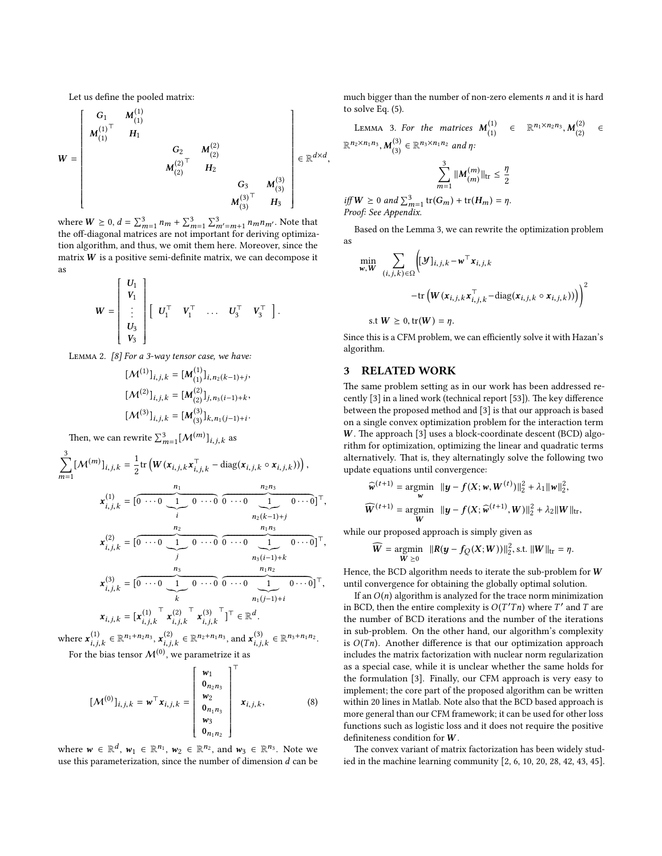Let us define the pooled matrix:

$$
W = \begin{bmatrix} G_1 & M_{(1)}^{(1)} & & & \\ M_{(1)}^{(1)\top} & H_1 & & & & \\ & G_2 & M_{(2)}^{(2)} & & \\ & & M_{(2)}^{(2)\top} & H_2 & & \\ & & & G_3 & M_{(3)}^{(3)} \\ & & & & M_{(3)}^{(3)\top} & H_3 \end{bmatrix} \in \mathbb{R}^{d \times d},
$$

where  $W \ge 0$ ,  $d = \sum_{m=1}^{3} n_m + \sum_{m=1}^{3} \sum_{m'=m+1}^{3} n_m n_m$ . Note that the off-diagonal matrices are not important for deriving optimizathe off-diagonal matrices are not important for deriving optimization algorithm, and thus, we omit them here. Moreover, since the matrix  $W$  is a positive semi-definite matrix, we can decompose it as

$$
W = \begin{bmatrix} U_1 \\ V_1 \\ \vdots \\ U_3 \\ V_3 \end{bmatrix} \begin{bmatrix} U_1^{\top} & V_1^{\top} & \dots & U_3^{\top} & V_3^{\top} \end{bmatrix}.
$$

Lemma 2. [\[8\]](#page-9-25) For a 3-way tensor case, we have:

$$
\begin{aligned} &[\mathcal{M}^{(1)}]_{i,j,k}=[\textbf{\textit{M}}_{(1)}^{(1)}]_{i,n_2(k-1)+j},\\ &[\mathcal{M}^{(2)}]_{i,j,k}=[\textbf{\textit{M}}_{(2)}^{(2)}]_{j,n_3(i-1)+k},\\ &[\mathcal{M}^{(3)}]_{i,j,k}=[\textbf{\textit{M}}_{(3)}^{(3)}]_{k,n_1(j-1)+i}. \end{aligned}
$$

Then, we can rewrite  $\sum_{m=1}^{3} [\mathcal{M}^{(m)}]_{i,j,k}$  as

$$
\sum_{m=1}^{3} [M^{(m)}]_{i,j,k} = \frac{1}{2} tr \left( W(x_{i,j,k} x_{i,j,k}^{\top} - diag(x_{i,j,k} \circ x_{i,j,k})) \right),
$$
\n
$$
x_{i,j,k}^{(1)} = \left[ 0 \cdots 0 \underbrace{1}_{i} 0 \cdots 0 \underbrace{0 \cdots 0}_{n} \underbrace{1}_{n_{2}(k-1)+j} 0 \cdots 0 \right]^{\top},
$$
\n
$$
x_{i,j,k}^{(2)} = \left[ 0 \cdots 0 \underbrace{1}_{j} 0 \cdots 0 \underbrace{0 \cdots 0}_{n_{3}(i-1)+k} \underbrace{1}_{n_{1}n_{2}} 0 \cdots 0 \right]^{\top},
$$
\n
$$
x_{i,j,k}^{(3)} = \left[ 0 \cdots 0 \underbrace{1}_{k} 0 \cdots 0 \underbrace{0 \cdots 0}_{n_{1}} \underbrace{1}_{n_{1}(j-1)+i} 0 \cdots 0 \right]^{\top},
$$
\n
$$
x_{i,j,k} = \left[ x_{i,j,k}^{(1)} \stackrel{\top}{=} x_{i,j,k}^{(2)} \stackrel{\top}{=} x_{i,j,k}^{(3)} \right]^{\top} \in \mathbb{R}^{d}.
$$

where  $\mathbf{x}_{i,j,k}^{(1)} \in \mathbb{R}^{n_1+n_2n_3}, \mathbf{x}_{i,j,k}^{(2)} \in \mathbb{R}^{n_2+n_1n_3}$ , and  $\mathbf{x}_{i,j,k}^{(3)}$ i,j,k  $\in \mathbb{R}^{n_3+n_1n_2}.$ 

For the bias tensor  $\mathcal{M}^{(0)}$ , we parametrize it as

$$
[\mathcal{M}^{(0)}]_{i,j,k} = \mathbf{w}^{\top} \mathbf{x}_{i,j,k} = \begin{bmatrix} \mathbf{w}_1 \\ \mathbf{0}_{n_2 n_3} \\ \mathbf{w}_2 \\ \mathbf{0}_{n_1 n_3} \\ \mathbf{w}_3 \\ \mathbf{0}_{n_1 n_2} \end{bmatrix}^{\top} \mathbf{x}_{i,j,k},
$$
 (8)

where  $w \in \mathbb{R}^d$ ,  $w_1 \in \mathbb{R}^{n_1}$ ,  $w_2 \in \mathbb{R}^{n_2}$ , and  $w_3 \in \mathbb{R}^{n_3}$ . Note we use this parameterization, since the number of dimension d can be use this parameterization, since the number of dimension  $d$  can be much bigger than the number of non-zero elements  $n$  and it is hard to solve Eq. [\(5\)](#page-3-1).

<span id="page-4-0"></span>LEMMA 3. For the matrices  $M_{(1)}^{(1)}$ (1) ∈  $\mathbb{R}^{n_1 \times n_2 n_3}$ ,  $M_{(2)}^{(2)}$ LEMMA 5. For the matrices  $M_{(1)} \in \mathbb{R}^{n_1 \times n_2 \times n_3}, M_{(2)}^{(3)} \in \mathbb{R}^{n_3 \times n_1 n_2}$  and  $\eta$ : ∈  $\binom{(3)}{(3)} \in \mathbb{R}^{n_3 \times n_1 n_2}$  and  $\eta$ :

$$
\sum_{m=1}^{3} ||M_{(m)}^{(m)}||_{\text{tr}} \le \frac{\eta}{2}
$$

iff  $W \ge 0$  and  $\sum_{m=1}^{3}$  tr $(G_m)$  + tr $(H_m) = \eta$ .<br>Proof: See Appendix. Proof: See Appendix.

Based on the Lemma [3,](#page-4-0) we can rewrite the optimization problem as

$$
\begin{aligned} \min_{\mathbf{w}, \mathbf{W}} & \sum_{(i,j,k)\in\Omega} \Biggl( [\mathbf{y}]_{i,j,k} - \mathbf{w}^\top \mathbf{x}_{i,j,k} \\ &- \text{tr} \left( \mathbf{W}(\mathbf{x}_{i,j,k} \mathbf{x}_{i,j,k}^\top - \text{diag}(\mathbf{x}_{i,j,k} \circ \mathbf{x}_{i,j,k})) \right) \Biggr)^2 \\ \text{s.t } \mathbf{W} &\geq 0, \text{tr}(\mathbf{W}) = \eta. \end{aligned}
$$

Since this is a CFM problem, we can efficiently solve it with Hazan's algorithm.

#### 3 RELATED WORK

The same problem setting as in our work has been addressed recently  $[3]$  in a lined work (technical report  $[53]$ ). The key difference between the proposed method and [\[3\]](#page-9-26) is that our approach is based on a single convex optimization problem for the interaction term  $W$ . The approach [\[3\]](#page-9-26) uses a block-coordinate descent (BCD) algorithm for optimization, optimizing the linear and quadratic terms alternatively. That is, they alternatingly solve the following two update equations until convergence:

$$
\widehat{\mathbf{w}}^{(t+1)} = \underset{\mathbf{w}}{\operatorname{argmin}} \quad \|\mathbf{y} - f(\mathbf{X}; \mathbf{w}, \mathbf{W}^{(t)})\|_{2}^{2} + \lambda_{1} \|\mathbf{w}\|_{2}^{2},
$$
\n
$$
\widehat{\mathbf{W}}^{(t+1)} = \underset{\mathbf{W}}{\operatorname{argmin}} \quad \|\mathbf{y} - f(\mathbf{X}; \widehat{\mathbf{w}}^{(t+1)}, \mathbf{W})\|_{2}^{2} + \lambda_{2} \|\mathbf{W}\|_{\text{tr}},
$$

while our proposed approach is simply given as

$$
\widehat{W} = \underset{W \geq 0}{\text{argmin}} \ \ \|R(\boldsymbol{y} - f_{Q}(X;W))\|_{2}^{2}, \text{s.t. } \|W\|_{\text{tr}} = \eta.
$$

Hence, the BCD algorithm needs to iterate the sub-problem for W until convergence for obtaining the globally optimal solution.

If an  $O(n)$  algorithm is analyzed for the trace norm minimization in BCD, then the entire complexity is  $O(T'Tn)$  where  $T'$  and  $T$  are the number of BCD iterations and the number of the iterations the number of BCD iterations and the number of the iterations in sub-problem. On the other hand, our algorithm's complexity is  $O(Tn)$ . Another difference is that our optimization approach includes the matrix factorization with nuclear norm regularization as a special case, while it is unclear whether the same holds for the formulation [\[3\]](#page-9-26). Finally, our CFM approach is very easy to implement; the core part of the proposed algorithm can be written within 20 lines in Matlab. Note also that the BCD based approach is more general than our CFM framework; it can be used for other loss functions such as logistic loss and it does not require the positive definiteness condition for  $W$ .

The convex variant of matrix factorization has been widely studied in the machine learning community [\[2,](#page-9-28) [6,](#page-9-29) [10,](#page-9-30) [20,](#page-9-31) [28,](#page-9-32) [42,](#page-9-33) [43,](#page-9-22) [45\]](#page-9-34).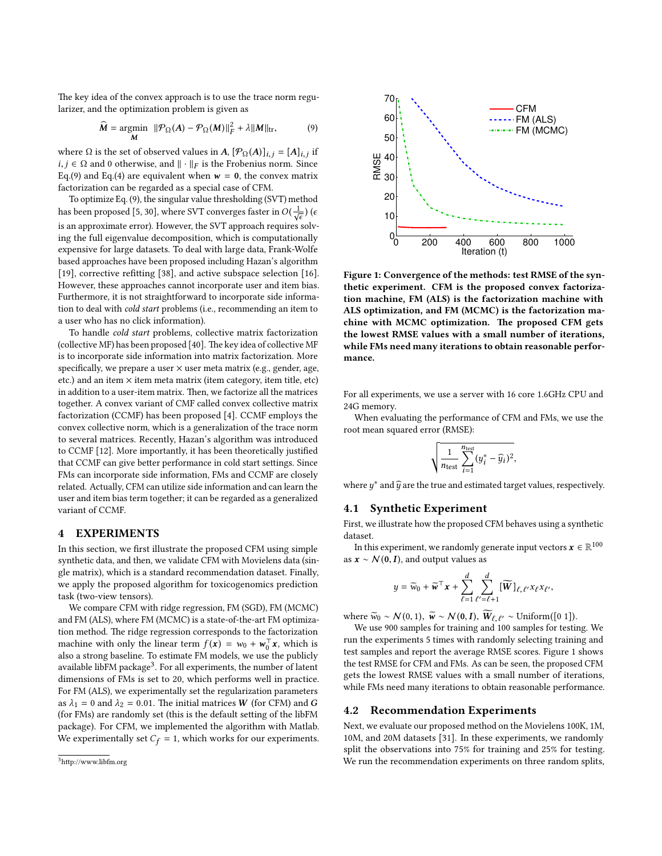The key idea of the convex approach is to use the trace norm regularizer, and the optimization problem is given as

$$
\widehat{M} = \underset{M}{\text{argmin}} \ \|\mathcal{P}_{\Omega}(A) - \mathcal{P}_{\Omega}(M)\|_{F}^{2} + \lambda \|M\|_{\text{tr}}, \tag{9}
$$

where  $\Omega$  is the set of observed values in  $A$ ,  $[\mathcal{P}_{\Omega}(A)]_{i,j} = [A]_{i,j}$  if  $i, j \in \Omega$  and 0 otherwise, and  $\parallel$ ,  $\parallel$ n is the Frobenius norm. Since *i*, *j* ∈  $\Omega$  and 0 otherwise, and  $\| \cdot \|_F$  is the Frobenius norm. Since Eq.[\(9\)](#page-5-0) and Eq.[\(4\)](#page-2-2) are equivalent when  $w = 0$ , the convex matrix factorization can be regarded as a special case of CFM.

To optimize Eq. [\(9\)](#page-5-0), the singular value thresholding (SVT) method has been proposed [\[5,](#page-9-35) [30\]](#page-9-36), where SVT converges faster in  $O(\frac{1}{\sqrt{\epsilon}})$  (e) is an approximate error). However, the SVT approach requires solving the full eigenvalue decomposition, which is computationally expensive for large datasets. To deal with large data, Frank-Wolfe based approaches have been proposed including Hazan's algorithm [\[19\]](#page-9-21), corrective refitting [\[38\]](#page-9-37), and active subspace selection [\[16\]](#page-9-38). However, these approaches cannot incorporate user and item bias. Furthermore, it is not straightforward to incorporate side information to deal with cold start problems (i.e., recommending an item to a user who has no click information).

To handle cold start problems, collective matrix factorization (collective MF) has been proposed [\[40\]](#page-9-39). The key idea of collective MF is to incorporate side information into matrix factorization. More specifically, we prepare a user  $\times$  user meta matrix (e.g., gender, age, etc.) and an item  $\times$  item meta matrix (item category, item title, etc) in addition to a user-item matrix. Then, we factorize all the matrices together. A convex variant of CMF called convex collective matrix factorization (CCMF) has been proposed [\[4\]](#page-9-40). CCMF employs the convex collective norm, which is a generalization of the trace norm to several matrices. Recently, Hazan's algorithm was introduced to CCMF [\[12\]](#page-9-1). More importantly, it has been theoretically justified that CCMF can give better performance in cold start settings. Since FMs can incorporate side information, FMs and CCMF are closely related. Actually, CFM can utilize side information and can learn the user and item bias term together; it can be regarded as a generalized variant of CCMF.

#### 4 EXPERIMENTS

In this section, we first illustrate the proposed CFM using simple synthetic data, and then, we validate CFM with Movielens data (single matrix), which is a standard recommendation dataset. Finally, we apply the proposed algorithm for toxicogenomics prediction task (two-view tensors).

We compare CFM with ridge regression, FM (SGD), FM (MCMC) and FM (ALS), where FM (MCMC) is a state-of-the-art FM optimization method. The ridge regression corresponds to the factorization machine with only the linear term  $f(\mathbf{x}) = w_0 + w_0^{\top} \mathbf{x}$ , which is<br>also a strong baseline. To estimate EM models we use the publicly also a strong baseline. To estimate FM models, we use the publicly available libFM package<sup>[3](#page-5-1)</sup>. For all experiments, the number of latent dimensions of FMs is set to 20, which performs well in practice. For FM (ALS), we experimentally set the regularization parameters as  $\lambda_1 = 0$  and  $\lambda_2 = 0.01$ . The initial matrices W (for CFM) and G (for FMs) are randomly set (this is the default setting of the libFM package). For CFM, we implemented the algorithm with Matlab. We experimentally set  $C_f = 1$ , which works for our experiments.

<span id="page-5-1"></span>

<span id="page-5-2"></span><span id="page-5-0"></span>

Figure 1: Convergence of the methods: test RMSE of the synthetic experiment. CFM is the proposed convex factorization machine, FM (ALS) is the factorization machine with ALS optimization, and FM (MCMC) is the factorization machine with MCMC optimization. The proposed CFM gets the lowest RMSE values with a small number of iterations, while FMs need many iterations to obtain reasonable performance.

For all experiments, we use a server with 16 core 1.6GHz CPU and 24G memory.

When evaluating the performance of CFM and FMs, we use the root mean squared error (RMSE): v

$$
\sqrt{\frac{1}{n_{\text{test}}}\sum_{i=1}^{n_{\text{test}}}(y_i^* - \widehat{y}_i)^2},
$$

where  $y^*$  and  $\widehat{y}$  are the true and estimated target values, respectively.

#### 4.1 Synthetic Experiment

First, we illustrate how the proposed CFM behaves using a synthetic dataset.

In this experiment, we randomly generate input vectors  $\mathbf{x} \in \mathbb{R}^{100}$ <br> $\mathbf{x} \sim \mathcal{N}(\mathbf{0}, \mathbf{I})$  and output values as as  $x \sim \mathcal{N}(0, I)$ , and output values as

$$
y = \widetilde{w}_0 + \widetilde{\boldsymbol{w}}^\top \boldsymbol{x} + \sum_{\ell=1}^d \sum_{\ell'= \ell+1}^d [\widetilde{W}]_{\ell,\ell'} x_{\ell} x_{\ell'},
$$

where  $\widetilde{w}_0 \sim \mathcal{N}(0, 1), \ \widetilde{w} \sim \mathcal{N}(0, I), \ \widetilde{W}_{\ell, \ell'} \sim \text{Uniform}([0 \ 1]).$ 

We use 900 samples for training and 100 samples for testing. We run the experiments 5 times with randomly selecting training and test samples and report the average RMSE scores. Figure [1](#page-5-2) shows the test RMSE for CFM and FMs. As can be seen, the proposed CFM gets the lowest RMSE values with a small number of iterations, while FMs need many iterations to obtain reasonable performance.

#### 4.2 Recommendation Experiments

Next, we evaluate our proposed method on the Movielens 100K, 1M, 10M, and 20M datasets [\[31\]](#page-9-41). In these experiments, we randomly split the observations into 75% for training and 25% for testing. We run the recommendation experiments on three random splits,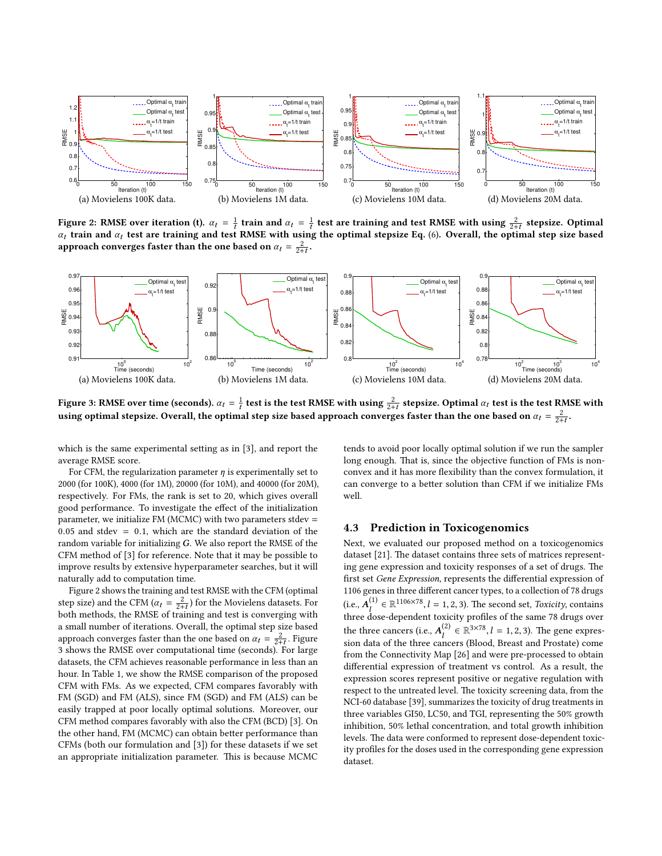<span id="page-6-0"></span>

Figure 2: RMSE over iteration (t).  $\alpha_t = \frac{1}{t}$  train and  $\alpha_t = \frac{1}{t}$  test are training and test RMSE with using  $\frac{2}{2+t}$  stepsize. Optimal  $\alpha_t$  train and  $\alpha_t$  test are training and test RMSE with using the ontimal  $\alpha_t$  train and  $\alpha_t$  test are training and test RMSE with using the optimal stepsize Eq. [\(6\)](#page-3-2). Overall, the optimal step size based<br>approach converges factor than the one based on  $\alpha_t = \lambda^2$ approach converges faster than the one based on  $\alpha_t = \frac{2}{2+t}$ .

<span id="page-6-1"></span>

Figure 3: RMSE over time (seconds).  $\alpha_t = \frac{1}{t}$  test is the test RMSE with using  $\frac{2}{2+t}$  stepsize. Optimal  $\alpha_t$  test is the test RMSE with<br>using optimal stepsize. Overall, the optimal step size based approach conver using optimal stepsize. Overall, the optimal step size based approach converges faster than the one based on  $\alpha_t = \frac{2}{2+t}$ .

which is the same experimental setting as in [\[3\]](#page-9-26), and report the average RMSE score.

For CFM, the regularization parameter  $\eta$  is experimentally set to 2000 (for 100K), 4000 (for 1M), 20000 (for 10M), and 40000 (for 20M), respectively. For FMs, the rank is set to 20, which gives overall good performance. To investigate the effect of the initialization parameter, we initialize FM (MCMC) with two parameters stdev = 0.05 and stdev  $= 0.1$ , which are the standard deviation of the random variable for initializing G. We also report the RMSE of the CFM method of [\[3\]](#page-9-26) for reference. Note that it may be possible to improve results by extensive hyperparameter searches, but it will naturally add to computation time.

Figure [2](#page-6-0) shows the training and test RMSE with the CFM (optimal step size) and the CFM  $(\alpha_t = \frac{2}{2+t})$  for the Movielens datasets. For<br>both methods, the PMSE of training and test is converging with step size) and the CFM ( $\alpha_t = \frac{1}{2+t}$ ) for the Movielens datasets. For<br>both methods, the RMSE of training and test is converging with a small number of iterations. Overall, the optimal step size based approach converges faster than the one based on  $\alpha_t = \frac{2}{2+t}$ . Figure 3 chows the PMSE over computational time (seconds). For large approach converges taster than the one based on  $\alpha_t = \frac{1}{2+t}$ . Figure<br>[3](#page-6-1) shows the RMSE over computational time (seconds). For large datasets, the CFM achieves reasonable performance in less than an hour. In Table [1,](#page-7-0) we show the RMSE comparison of the proposed CFM with FMs. As we expected, CFM compares favorably with FM (SGD) and FM (ALS), since FM (SGD) and FM (ALS) can be easily trapped at poor locally optimal solutions. Moreover, our CFM method compares favorably with also the CFM (BCD) [\[3\]](#page-9-26). On the other hand, FM (MCMC) can obtain better performance than CFMs (both our formulation and [\[3\]](#page-9-26)) for these datasets if we set an appropriate initialization parameter. This is because MCMC tends to avoid poor locally optimal solution if we run the sampler long enough. That is, since the objective function of FMs is nonconvex and it has more flexibility than the convex formulation, it can converge to a better solution than CFM if we initialize FMs well.

#### 4.3 Prediction in Toxicogenomics

Next, we evaluated our proposed method on a toxicogenomics dataset  $[21]$ . The dataset contains three sets of matrices representing gene expression and toxicity responses of a set of drugs. The first set Gene Expression, represents the differential expression of 1106 genes in three different cancer types, to a collection of 78 drugs (i.e.,  $A_1^{(1)} \in \mathbb{R}^{1106 \times 78}$ ,  $l = 1, 2, 3$ ). The second set, *Toxicity*, contains three dose-dependent toxicity profiles of the same 78 drugs over the three cancers (i.e.,  $A_l^{(2)} \in \mathbb{R}^{3 \times 78}, l = 1, 2, 3$ ). The gene expres-<br>sign data of the three cancers (Blood Broast and Broatata) comes sion data of the three cancers (Blood, Breast and Prostate) come from the Connectivity Map [\[26\]](#page-9-42) and were pre-processed to obtain differential expression of treatment vs control. As a result, the expression scores represent positive or negative regulation with respect to the untreated level. The toxicity screening data, from the NCI-60 database [\[39\]](#page-9-43), summarizes the toxicity of drug treatments in three variables GI50, LC50, and TGI, representing the 50% growth inhibition, 50% lethal concentration, and total growth inhibition levels. The data were conformed to represent dose-dependent toxicity profiles for the doses used in the corresponding gene expression dataset.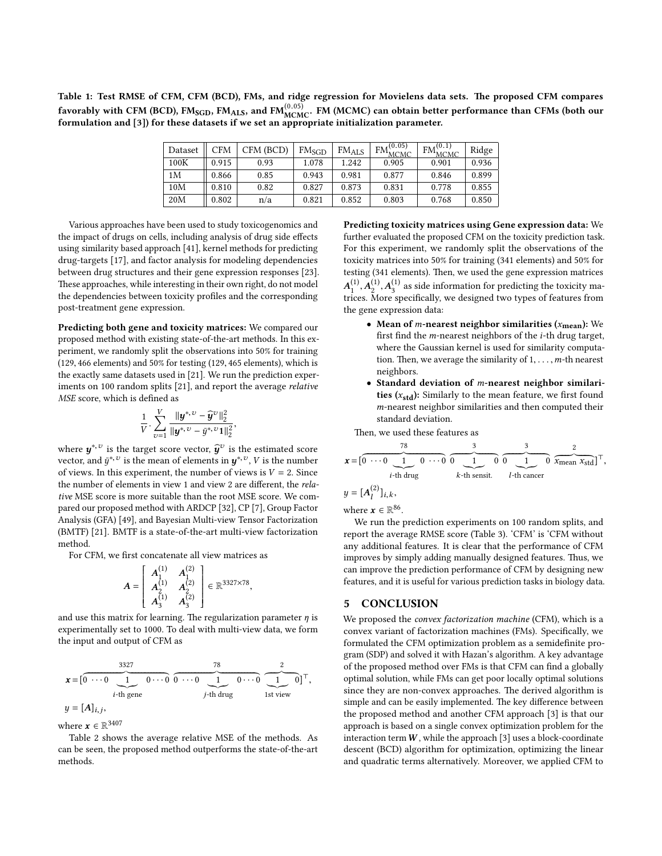<span id="page-7-0"></span>Table 1: Test RMSE of CFM, CFM (BCD), FMs, and ridge regression for Movielens data sets. The proposed CFM compares favorably with CFM (BCD),  $FM_{SGD}$ ,  $FM_{ALS}$ , and  $FM_{MCMC}^{(0.05)}$ . FM (MCMC) can obtain better performance than CFMs (both our formulation and [\[3\]](#page-9-26)) for these datasets if we set an appropriate initialization parameter.

| Dataset | CFM   | CFM (BCD) | FMsgd | $FM_{ALS}$ | (0.05)<br>FM<br><b>MCMC</b> | (0.1)<br><b>FM</b><br><b>MCMC</b> | Ridge |
|---------|-------|-----------|-------|------------|-----------------------------|-----------------------------------|-------|
| 100K    | 0.915 | 0.93      | 1.078 | 1.242      | 0.905                       | 0.901                             | 0.936 |
| 1M      | 0.866 | 0.85      | 0.943 | 0.981      | 0.877                       | 0.846                             | 0.899 |
| 10M     | 0.810 | 0.82      | 0.827 | 0.873      | 0.831                       | 0.778                             | 0.855 |
| 20M     | 0.802 | n/a       | 0.821 | 0.852      | 0.803                       | 0.768                             | 0.850 |

Various approaches have been used to study toxicogenomics and the impact of drugs on cells, including analysis of drug side effects using similarity based approach [\[41\]](#page-9-44), kernel methods for predicting drug-targets [\[17\]](#page-9-45), and factor analysis for modeling dependencies between drug structures and their gene expression responses [\[23\]](#page-9-46). These approaches, while interesting in their own right, do not model the dependencies between toxicity profiles and the corresponding post-treatment gene expression.

Predicting both gene and toxicity matrices: We compared our proposed method with existing state-of-the-art methods. In this experiment, we randomly split the observations into 50% for training (129, 466 elements) and 50% for testing (129, 465 elements), which is the exactly same datasets used in [\[21\]](#page-9-10). We run the prediction experiments on 100 random splits [\[21\]](#page-9-10), and report the average relative MSE score, which is defined as

$$
\frac{1}{V} \cdot \sum_{\upsilon=1}^{V} \frac{\|\mathbf{y}^{*,\upsilon} - \widehat{\mathbf{y}}^{\upsilon}\|_2^2}{\|\mathbf{y}^{*,\upsilon} - \bar{y}^{*,\upsilon}\mathbf{1}\|_2^2}
$$

,

where  $y^{*,v}$  is the target score vector,  $\hat{y}^v$  is the estimated score vector and  $\vec{u}^{*,v}$  is the mean of elements in  $\vec{u}^{*,v}$ . *V* is the number vector, and  $\bar{y}^{*,v}$  is the mean of elements in  $y^{*,v}$ , V is the number<br>of views In this experiment, the number of views is  $V = 2$ . Since of views. In this experiment, the number of views is  $V = 2$ . Since the number of elements in view 1 and view 2 are different, the relative MSE score is more suitable than the root MSE score. We compared our proposed method with ARDCP [\[32\]](#page-9-47), CP [\[7\]](#page-9-48), Group Factor Analysis (GFA) [\[49\]](#page-9-49), and Bayesian Multi-view Tensor Factorization (BMTF) [\[21\]](#page-9-10). BMTF is a state-of-the-art multi-view factorization method.

For CFM, we first concatenate all view matrices as

$$
A = \begin{bmatrix} A_1^{(1)} & A_1^{(2)} \\ A_2^{(1)} & A_2^{(2)} \\ A_3^{(1)} & A_3^{(2)} \end{bmatrix} \in \mathbb{R}^{3327 \times 78},
$$

and use this matrix for learning. The regularization parameter  $\eta$  is<br>experimentally set to 1000. To deal with multi-view data, we form experimentally set to 1000. To deal with multi-view data, we form the input and output of CFM as

$$
\mathbf{x} = \begin{bmatrix} 0 & \cdots & 0 & 0 \\ 0 & \cdots & 0 & 0 \\ i & \cdots & 0 & 0 \end{bmatrix} \quad \text{for } i \in \mathbb{N} \text{ and } \begin{bmatrix} 78 & 2 \\ 0 & \cdots & 0 \\ j & \cdots & 0 & 0 \end{bmatrix} \quad \text{for } i \in \mathbb{N} \text{ and } \begin{bmatrix} 2 & 0 \\ 0 & \cdots & 0 \\ 0 & \cdots & 0 & 0 \end{bmatrix}^T,
$$
\n
$$
y = [A]_{i,j},
$$

where  $\mathbf{x} \in \mathbb{R}^{3407}$ <br>Table 2 show

Table [2](#page-8-0) shows the average relative MSE of the methods. As can be seen, the proposed method outperforms the state-of-the-art methods.

Predicting toxicity matrices using Gene expression data: We further evaluated the proposed CFM on the toxicity prediction task. For this experiment, we randomly split the observations of the toxicity matrices into 50% for training (341 elements) and 50% for testing (341 elements). Then, we used the gene expression matrices  $\frac{A}{A}$ ,  $\frac{A}{A}$ ,  $\frac{A}{A}$  are constructed to the procession of features from trices. More specifically, we designed two types of features from  $(1)$ ,  $\vec{A}^{(1)}_2$ ,  $\vec{A}^{(1)}_3$  as side information for predicting the toxicity mathe gene expression data:

- Mean of *m*-nearest neighbor similarities  $(x_{mean})$ : We first find the *m*-nearest neighbors of the *i*-th drug target, where the Gaussian kernel is used for similarity computation. Then, we average the similarity of  $1, \ldots, m$ -th nearest neighbors.
- Standard deviation of m-nearest neighbor similarities  $(x_{std})$ : Similarly to the mean feature, we first found m-nearest neighbor similarities and then computed their standard deviation.

Then, we used these features as

$$
\mathbf{x} = \begin{bmatrix} 78 & 3 & 3 & 2 \\ 0 & \cdot \cdot \cdot & 1 & 0 & \cdot \cdot \cdot \end{bmatrix} \quad \text{for all } 0 \text{ and } \mathbf{x}_{\text{mean}} \quad \mathbf{x}_{\text{std}} \text{ and } \mathbf{x}_{\text{std}} \text{ and } \mathbf{x}_{\text{std}} \text{ and } \mathbf{x}_{\text{std}} \text{ and } \mathbf{x}_{\text{std}} \text{ and } \mathbf{x}_{\text{std}} \text{ and } \mathbf{x}_{\text{std}} \text{ and } \mathbf{x}_{\text{std}} \text{ and } \mathbf{x}_{\text{std}} \text{ and } \mathbf{x}_{\text{std}} \text{ and } \mathbf{x}_{\text{std}} \text{ and } \mathbf{x}_{\text{std}} \text{ and } \mathbf{x}_{\text{std}} \text{ and } \mathbf{x}_{\text{std}} \text{ and } \mathbf{x}_{\text{std}} \text{ and } \mathbf{x}_{\text{std}} \text{ and } \mathbf{x}_{\text{std}} \text{ and } \mathbf{x}_{\text{std}} \text{ and } \mathbf{x}_{\text{std}} \text{ and } \mathbf{x}_{\text{std}} \text{ and } \mathbf{x}_{\text{std}} \text{ and } \mathbf{x}_{\text{std}} \text{ and } \mathbf{x}_{\text{std}} \text{ and } \mathbf{x}_{\text{std}} \text{ and } \mathbf{x}_{\text{std}} \text{ and } \mathbf{x}_{\text{std}} \text{ and } \mathbf{x}_{\text{std}} \text{ and } \mathbf{x}_{\text{std}} \text{ and } \mathbf{x}_{\text{std}} \text{ and } \mathbf{x}_{\text{std}} \text{ and } \mathbf{x}_{\text{std}} \text{ and } \mathbf{x}_{\text{std}} \text{ and } \mathbf{x}_{\text{std}} \text{ and } \mathbf{x}_{\text{std}} \text{ and } \mathbf{x}_{\text{std}} \text{ and } \mathbf{x}_{\text{std}} \text{ and } \mathbf{x}_{\text{std}} \text{ and } \mathbf{x}_{\text{std}} \text{ and } \mathbf{x}_{\text{std}} \text{ and } \mathbf{x}_{\text{std}} \text{ and } \mathbf{x}_{\text{std}} \text{ and } \mathbf{x}_{\text{std}} \text{ and } \mathbf{x}_{\text{std}} \text{ and } \mathbf{x}_{\text{std}} \text{ and } \mathbf{x}_{\text{std}} \text{ and } \mathbf{x}_{
$$

un the prediction experiments on 100 random splits, report the average RMSE score (Table [3\)](#page-8-1). 'CFM' is 'CFM without any additional features. It is clear that the performance of CFM improves by simply adding manually designed features. Thus, we can improve the prediction performance of CFM by designing new features, and it is useful for various prediction tasks in biology data.

#### 5 CONCLUSION

We proposed the convex factorization machine (CFM), which is a convex variant of factorization machines (FMs). Specifically, we formulated the CFM optimization problem as a semidefinite program (SDP) and solved it with Hazan's algorithm. A key advantage of the proposed method over FMs is that CFM can find a globally optimal solution, while FMs can get poor locally optimal solutions since they are non-convex approaches. The derived algorithm is simple and can be easily implemented. The key difference between the proposed method and another CFM approach [\[3\]](#page-9-26) is that our approach is based on a single convex optimization problem for the interaction term  $W$ , while the approach [\[3\]](#page-9-26) uses a block-coordinate descent (BCD) algorithm for optimization, optimizing the linear and quadratic terms alternatively. Moreover, we applied CFM to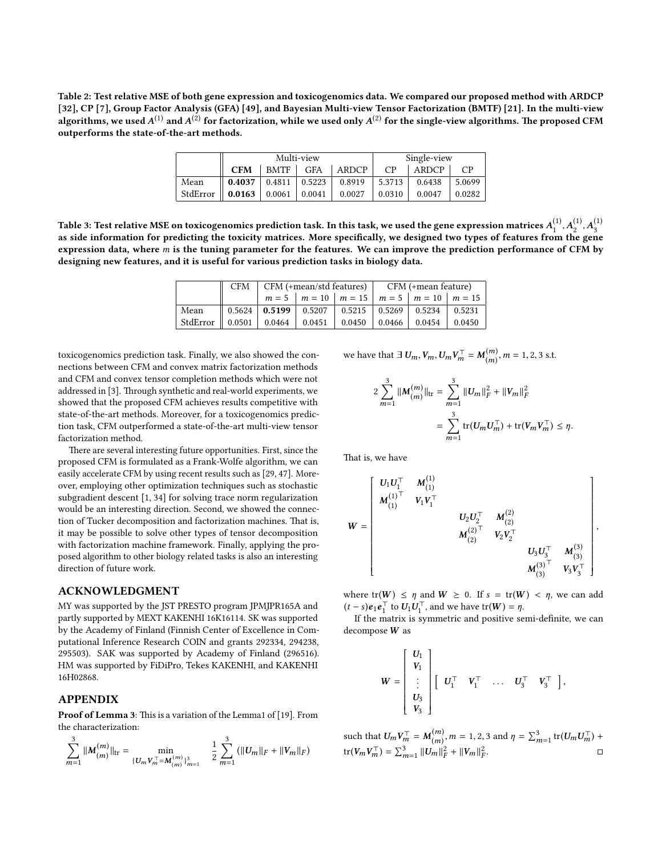<span id="page-8-0"></span>Table 2: Test relative MSE of both gene expression and toxicogenomics data. We compared our proposed method with ARDCP [\[32\]](#page-9-47), CP [\[7\]](#page-9-48), Group Factor Analysis (GFA) [\[49\]](#page-9-49), and Bayesian Multi-view Tensor Factorization (BMTF) [\[21\]](#page-9-10). In the multi-view algorithms, we used  $A^{(1)}$  and  $A^{(2)}$  for factorization, while we used only  $A^{(2)}$  for the single-view algorithms. The proposed CFM<br>outperforms the state-of the art methods outperforms the state-of-the-art methods.

|          | Multi-view         |                             |            |        | Single-view |        |          |
|----------|--------------------|-----------------------------|------------|--------|-------------|--------|----------|
|          | <b>CFM</b>         | BMTF                        | <b>GFA</b> | ARDCP  | CP          | ARDCP  | $\cap P$ |
| Mean     | $\parallel$ 0.4037 | $0.4811$ 0.5223             |            | 0.8919 | 5.3713      | 0.6438 | 5.0699   |
| StdError | $\parallel$ 0.0163 | $\vert 0.0061 \vert 0.0041$ |            | 0.0027 | 0.0310      | 0.0047 | 0.0282   |

<span id="page-8-1"></span>Table 3: Test relative MSE on toxicogenomics prediction task. In this task, we used the gene expression matrices  $A_1^{(1)}, A_2^{(1)}, A_3^{(1)}$ as side information for predicting the toxicity matrices. More specifically, we designed two types of features from the gene expression data, where m is the tuning parameter for the features. We can improve the prediction performance of CFM by designing new features, and it is useful for various prediction tasks in biology data.

|                                                                                                                                               | $CFM$   $CFM$ (+mean/std features)   $CFM$ (+mean feature) |  |                                                                                 |  |  |  |
|-----------------------------------------------------------------------------------------------------------------------------------------------|------------------------------------------------------------|--|---------------------------------------------------------------------------------|--|--|--|
|                                                                                                                                               |                                                            |  | $m = 5$   $m = 10$   $m = 15$   $m = 5$   $m = 10$   $m = 15$                   |  |  |  |
| Mean                                                                                                                                          |                                                            |  | $\parallel$ 0.5624   <b>0.5199</b>   0.5207   0.5215   0.5269   0.5234   0.5231 |  |  |  |
| StdError $\parallel$ 0.0501 $\parallel$ 0.0464 $\parallel$ 0.0451 $\parallel$ 0.0450 $\parallel$ 0.0466 $\parallel$ 0.0454 $\parallel$ 0.0450 |                                                            |  |                                                                                 |  |  |  |

toxicogenomics prediction task. Finally, we also showed the connections between CFM and convex matrix factorization methods and CFM and convex tensor completion methods which were not addressed in [\[3\]](#page-9-26). Through synthetic and real-world experiments, we showed that the proposed CFM achieves results competitive with state-of-the-art methods. Moreover, for a toxicogenomics prediction task, CFM outperformed a state-of-the-art multi-view tensor factorization method.

There are several interesting future opportunities. First, since the proposed CFM is formulated as a Frank-Wolfe algorithm, we can easily accelerate CFM by using recent results such as [\[29,](#page-9-50) [47\]](#page-9-51). Moreover, employing other optimization techniques such as stochastic subgradient descent [\[1,](#page-9-52) [34\]](#page-9-53) for solving trace norm regularization would be an interesting direction. Second, we showed the connection of Tucker decomposition and factorization machines. That is, it may be possible to solve other types of tensor decomposition with factorization machine framework. Finally, applying the proposed algorithm to other biology related tasks is also an interesting direction of future work.

#### ACKNOWLEDGMENT

MY was supported by the JST PRESTO program JPMJPR165A and partly supported by MEXT KAKENHI 16K16114. SK was supported by the Academy of Finland (Finnish Center of Excellence in Computational Inference Research COIN and grants 292334, 294238, 295503). SAK was supported by Academy of Finland (296516). HM was supported by FiDiPro, Tekes KAKENHI, and KAKENHI 16H02868.

#### APPENDIX

Proof of Lemma [3](#page-4-0): This is a variation of the Lemma1 of [\[19\]](#page-9-21). From the characterization:

$$
\sum_{m=1}^3 \|{\boldsymbol M}_{(m)}^{(m)}\|_{\rm tr} = \min_{\{U_mV_m^\top={\boldsymbol M}_{(m)}^{(m)}\}_{m=1}^3} \quad \frac{1}{2}\sum_{m=1}^3 \big(\|U_m\|_F + \|V_m\|_F\big)
$$

we have that  $\exists U_m, V_m, U_m V_m^{\top} = M_{(m)}^{(m)}, m = 1, 2, 3 \text{ s.t.}$ (m)

$$
2\sum_{m=1}^{3}||M_{(m)}^{(m)}||_{\text{tr}} = \sum_{m=1}^{3}||U_m||_F^2 + ||V_m||_F^2
$$
  
= 
$$
\sum_{m=1}^{3} \text{tr}(U_m U_m^{\top}) + \text{tr}(V_m V_m^{\top}) \leq \eta.
$$

That is, we have

$$
W = \begin{bmatrix} U_1U_1^{\top} & M_{(1)}^{(1)} & & & \\ M_{(1)}^{(1)\top} & V_1V_1^{\top} & & & \\ & & U_2U_2^{\top} & M_{(2)}^{(2)} & & \\ & & M_{(2)}^{(2)\top} & V_2V_2^{\top} & & \\ & & & U_3U_3^{\top} & M_{(3)}^{(3)} \\ & & & & M_{(3)}^{(3)\top} & V_3V_3^{\top} \end{bmatrix},
$$

where  $tr(W) \leq \eta$  and  $W \geq 0$ . If  $s = tr(W) < \eta$ , we can add  $(t - s)e_1e_1^{\top}$  to  $U_1U_1^{\top}$ , and we have tr(W) =  $\eta$ .<br>If the matrix is symmetric and positive set

If the matrix is symmetric and positive semi-definite, we can decompose W as

$$
W = \begin{bmatrix} U_1 \\ V_1 \\ \vdots \\ U_3 \\ V_3 \end{bmatrix} \begin{bmatrix} U_1^{\top} & V_1^{\top} & \dots & U_3^{\top} & V_3^{\top} \end{bmatrix},
$$

such that  $U_m V_m^{\top} = M_{(m)}^{(m)}$  $\binom{m}{m}$ ,  $m = 1, 2, 3$  and  $\eta = \sum_{m=1}^{3} tr(U_m U_m^{\top}) +$  $\text{tr}(V_m V_m^{\top}) = \sum_{m=1}^3 ||U_m||_F^2 + ||V_m||_F^2.$